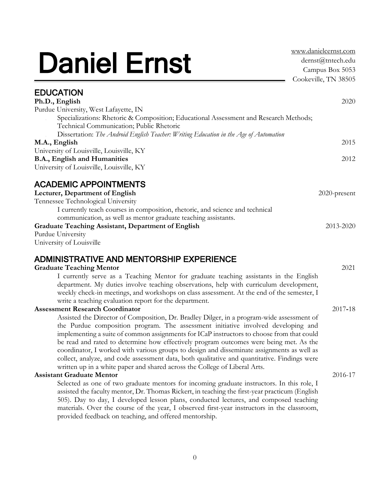# Daniel Ernst

[www.danielcernst.com](http://www.danielcernst.com/) [dernst@tntech.edu](mailto:dernst@tntech.edu) Campus Box 5053 Cookeville, TN 38505

| <b>EDUCATION</b>                                                                                                                  |              |
|-----------------------------------------------------------------------------------------------------------------------------------|--------------|
| Ph.D., English                                                                                                                    | 2020         |
| Purdue University, West Lafayette, IN                                                                                             |              |
| Specializations: Rhetoric & Composition; Educational Assessment and Research Methods;<br>Technical Communication; Public Rhetoric |              |
| Dissertation: The Android English Teacher: Writing Education in the Age of Automation                                             |              |
| M.A., English                                                                                                                     | 2015         |
| University of Louisville, Louisville, KY                                                                                          |              |
| B.A., English and Humanities                                                                                                      | 2012         |
| University of Louisville, Louisville, KY                                                                                          |              |
| <b>ACADEMIC APPOINTMENTS</b>                                                                                                      |              |
| Lecturer, Department of English                                                                                                   | 2020-present |
| Tennessee Technological University                                                                                                |              |
| I currently teach courses in composition, rhetoric, and science and technical                                                     |              |
| communication, as well as mentor graduate teaching assistants.                                                                    |              |
| <b>Graduate Teaching Assistant, Department of English</b>                                                                         | 2013-2020    |
| Purdue University                                                                                                                 |              |
| University of Louisville                                                                                                          |              |
| <b>ADMINISTRATIVE AND MENTORSHIP EXPERIENCE</b>                                                                                   |              |
| <b>Graduate Teaching Mentor</b>                                                                                                   | 2021         |
| I currently serve as a Teaching Mentor for graduate teaching assistants in the English                                            |              |
| department. My duties involve teaching observations, help with curriculum development,                                            |              |
| weekly check-in meetings, and workshops on class assessment. At the end of the semester, I                                        |              |
| write a teaching evaluation report for the department.                                                                            |              |
| <b>Assessment Research Coordinator</b>                                                                                            | 2017-18      |
| Assisted the Director of Composition, Dr. Bradley Dilger, in a program-wide assessment of                                         |              |
| the Purdue composition program. The assessment initiative involved developing and                                                 |              |
| implementing a suite of common assignments for ICaP instructors to choose from that could                                         |              |
| be read and rated to determine how effectively program outcomes were being met. As the                                            |              |
| coordinator, I worked with various groups to design and disseminate assignments as well as                                        |              |
| collect, analyze, and code assessment data, both qualitative and quantitative. Findings were                                      |              |
| written up in a white paper and shared across the College of Liberal Arts.                                                        |              |
| <b>Assistant Graduate Mentor</b>                                                                                                  | 2016-17      |
| Selected as one of two graduate mentors for incoming graduate instructors. In this role, I                                        |              |
| assisted the faculty mentor, Dr. Thomas Rickert, in teaching the first-year practicum (English                                    |              |
| 505). Day to day, I developed lesson plans, conducted lectures, and composed teaching                                             |              |
| materials. Over the course of the year, I observed first-year instructors in the classroom,                                       |              |
| provided feedback on teaching, and offered mentorship.                                                                            |              |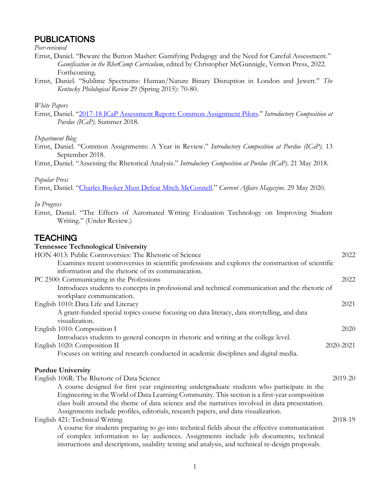# PUBLICATIONS

*Peer-reviewed*

- Ernst, Daniel. "Beware the Button Masher: Gamifying Pedagogy and the Need for Careful Assessment." *Gamification in the RhetComp Curriculum*, edited by Christopher McGunnigle, Vernon Press, 2022. Forthcoming.
- Ernst, Daniel. "Sublime Spectrums: Human/Nature Binary Disruption in London and Jewett." *The Kentucky Philological Review* 29 (Spring 2015): 70-80.

#### *White Papers*

Ernst, Daniel. "[2017-18 ICaP Assessment Report: Common Assignment Pilots](https://cla.purdue.edu/academic/english/icap/assessment/pdfs/assessment-report-2017-18.pdf)." *Introductory Composition at Purdue (ICaP)*. Summer 2018.

#### *Department Blog*

- Ernst, Daniel. "Common Assignments: A Year in Review." *Introductory Composition at Purdue (ICaP)*. 13 September 2018.
- Ernst, Daniel. "Assessing the Rhetorical Analysis." *Introductory Composition at Purdue (ICaP)*. 21 May 2018.

#### *Popular Press*

Ernst, Daniel. "[Charles Booker Must Defeat Mitch McConnell](https://www.currentaffairs.org/2020/05/charles-booker-must-defeat-mitch-mcconnell)." *Current Affairs Magazine*. 29 May 2020.

#### *In Progress*

Ernst, Daniel. "The Effects of Automated Writing Evaluation Technology on Improving Student Writing." (Under Review.)

# **TEACHING**

| <b>Tennessee Technological University</b>                                                           |           |
|-----------------------------------------------------------------------------------------------------|-----------|
| HON 4013: Public Controversies: The Rhetoric of Science                                             | 2022      |
| Examines recent controversies in scientific professions and explores the construction of scientific |           |
| information and the rhetoric of its communication.                                                  |           |
| PC 2500: Communicating in the Professions                                                           | 2022      |
| Introduces students to concepts in professional and technical communication and the rhetoric of     |           |
| workplace communication.                                                                            |           |
| English 1010: Data Life and Literacy                                                                | 2021      |
| A grant-funded special topics course focusing on data literacy, data storytelling, and data         |           |
| visualization.                                                                                      |           |
| English 1010: Composition I                                                                         | 2020      |
| Introduces students to general concepts in rhetoric and writing at the college level.               |           |
| English 1020: Composition II                                                                        | 2020-2021 |
| Focuses on writing and research conducted in academic disciplines and digital media.                |           |
| <b>Purdue University</b>                                                                            |           |
| English 106R: The Rhetoric of Data Science                                                          | 2019-20   |
| A course designed for first year engineering undergraduate students who participate in the          |           |
| Engineering in the World of Data Learning Community. This section is a first-year composition       |           |
| class built around the theme of data science and the narratives involved in data presentation.      |           |
| Assignments include profiles, editorials, research papers, and data visualization.                  |           |
| English 421: Technical Writing                                                                      | 2018-19   |
| A course for students preparing to go into technical fields about the effective communication       |           |
| of complex information to lay audiences. Assignments include job documents, technical               |           |
| instructions and descriptions, usability testing and analysis, and technical re-design proposals.   |           |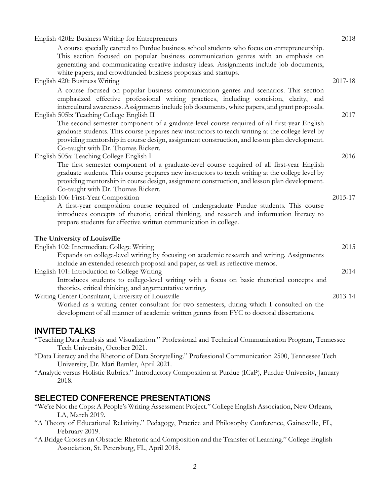| English 420E: Business Writing for Entrepreneurs<br>A course specially catered to Purdue business school students who focus on entrepreneurship.<br>This section focused on popular business communication genres with an emphasis on<br>generating and communicating creative industry ideas. Assignments include job documents,                                                                                             | 2018    |
|-------------------------------------------------------------------------------------------------------------------------------------------------------------------------------------------------------------------------------------------------------------------------------------------------------------------------------------------------------------------------------------------------------------------------------|---------|
| white papers, and crowdfunded business proposals and startups.<br>English 420: Business Writing                                                                                                                                                                                                                                                                                                                               | 2017-18 |
| A course focused on popular business communication genres and scenarios. This section<br>emphasized effective professional writing practices, including concision, clarity, and<br>intercultural awareness. Assignments include job documents, white papers, and grant proposals.<br>English 505b: Teaching College English II<br>The second semester component of a graduate-level course required of all first-year English | 2017    |
| graduate students. This course prepares new instructors to teach writing at the college level by<br>providing mentorship in course design, assignment construction, and lesson plan development.<br>Co-taught with Dr. Thomas Rickert.                                                                                                                                                                                        |         |
| English 505a: Teaching College English I                                                                                                                                                                                                                                                                                                                                                                                      | 2016    |
| The first semester component of a graduate-level course required of all first-year English<br>graduate students. This course prepares new instructors to teach writing at the college level by<br>providing mentorship in course design, assignment construction, and lesson plan development.<br>Co-taught with Dr. Thomas Rickert.                                                                                          |         |
| English 106: First-Year Composition                                                                                                                                                                                                                                                                                                                                                                                           | 2015-17 |
| A first-year composition course required of undergraduate Purdue students. This course<br>introduces concepts of rhetoric, critical thinking, and research and information literacy to<br>prepare students for effective written communication in college.                                                                                                                                                                    |         |
| The University of Louisville                                                                                                                                                                                                                                                                                                                                                                                                  |         |
| English 102: Intermediate College Writing                                                                                                                                                                                                                                                                                                                                                                                     | 2015    |
| Expands on college-level writing by focusing on academic research and writing. Assignments<br>include an extended research proposal and paper, as well as reflective memos.                                                                                                                                                                                                                                                   |         |
| English 101: Introduction to College Writing<br>Introduces students to college-level writing with a focus on basic rhetorical concepts and                                                                                                                                                                                                                                                                                    | 2014    |
| theories, critical thinking, and argumentative writing.                                                                                                                                                                                                                                                                                                                                                                       |         |
| Writing Center Consultant, University of Louisville<br>Worked as a writing center consultant for two semesters, during which I consulted on the<br>development of all manner of academic written genres from FYC to doctoral dissertations.                                                                                                                                                                                   | 2013-14 |
| <b>INVITED TALKS</b>                                                                                                                                                                                                                                                                                                                                                                                                          |         |

"Teaching Data Analysis and Visualization." Professional and Technical Communication Program, Tennessee Tech University, October 2021.

- "Data Literacy and the Rhetoric of Data Storytelling." Professional Communication 2500, Tennessee Tech University, Dr. Mari Ramler, April 2021.
- "Analytic versus Holistic Rubrics." Introductory Composition at Purdue (ICaP), Purdue University, January 2018.

# SELECTED CONFERENCE PRESENTATIONS

- "We're Not the Cops: A People's Writing Assessment Project." College English Association, New Orleans, LA, March 2019.
- "A Theory of Educational Relativity." Pedagogy, Practice and Philosophy Conference, Gainesville, FL, February 2019.
- "A Bridge Crosses an Obstacle: Rhetoric and Composition and the Transfer of Learning." College English Association, St. Petersburg, FL, April 2018.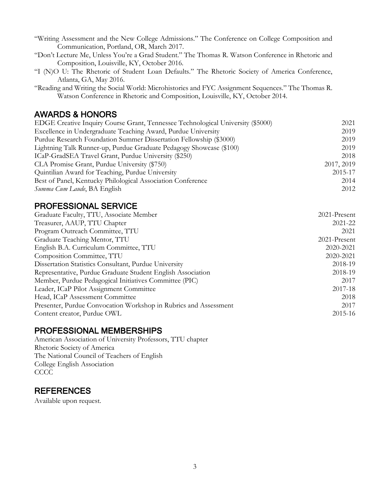"Writing Assessment and the New College Admissions." The Conference on College Composition and Communication, Portland, OR, March 2017.

"Don't Lecture Me, Unless You're a Grad Student." The Thomas R. Watson Conference in Rhetoric and Composition, Louisville, KY, October 2016.

- "I (N)O U: The Rhetoric of Student Loan Defaults." The Rhetoric Society of America Conference, Atlanta, GA, May 2016.
- "Reading and Writing the Social World: Microhistories and FYC Assignment Sequences." The Thomas R. Watson Conference in Rhetoric and Composition, Louisville, KY, October 2014.

# AWARDS & HONORS

| EDGE Creative Inquiry Course Grant, Tennessee Technological University (\$5000) | 2021       |
|---------------------------------------------------------------------------------|------------|
| Excellence in Undergraduate Teaching Award, Purdue University                   | 2019       |
| Purdue Research Foundation Summer Dissertation Fellowship (\$3000)              | 2019       |
| Lightning Talk Runner-up, Purdue Graduate Pedagogy Showcase (\$100)             | 2019       |
| ICaP-GradSEA Travel Grant, Purdue University (\$250)                            | 2018       |
| CLA Promise Grant, Purdue University (\$750)                                    | 2017, 2019 |
| Quintilian Award for Teaching, Purdue University                                | 2015-17    |
| Best of Panel, Kentucky Philological Association Conference                     | 2014       |
| Summa Cum Laude, BA English                                                     | 2012       |
|                                                                                 |            |

# PROFESSIONAL SERVICE

| Graduate Faculty, TTU, Associate Member                          | 2021-Present |
|------------------------------------------------------------------|--------------|
| Treasurer, AAUP, TTU Chapter                                     | 2021-22      |
| Program Outreach Committee, TTU                                  | 2021         |
| Graduate Teaching Mentor, TTU                                    | 2021-Present |
| English B.A. Curriculum Committee, TTU                           | 2020-2021    |
| Composition Committee, TTU                                       | 2020-2021    |
| Dissertation Statistics Consultant, Purdue University            | 2018-19      |
| Representative, Purdue Graduate Student English Association      | 2018-19      |
| Member, Purdue Pedagogical Initiatives Committee (PIC)           | 2017         |
| Leader, ICaP Pilot Assignment Committee                          | 2017-18      |
| Head, ICaP Assessment Committee                                  | 2018         |
| Presenter, Purdue Convocation Workshop in Rubrics and Assessment | 2017         |
| Content creator, Purdue OWL                                      | 2015-16      |

# PROFESSIONAL MEMBERSHIPS

American Association of University Professors, TTU chapter Rhetoric Society of America The National Council of Teachers of English College English Association **CCCC** 

# **REFERENCES**

Available upon request.